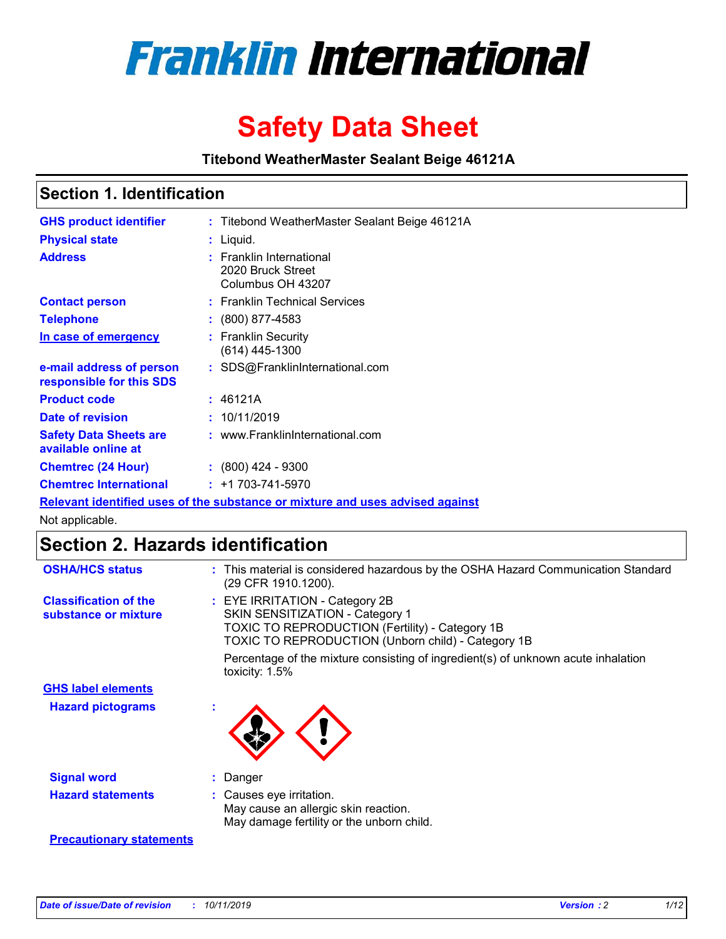

# **Safety Data Sheet**

**Titebond WeatherMaster Sealant Beige 46121A**

### **Section 1. Identification**

| <b>GHS product identifier</b>                        | : Titebond WeatherMaster Sealant Beige 46121A                                 |
|------------------------------------------------------|-------------------------------------------------------------------------------|
| <b>Physical state</b>                                | : Liquid.                                                                     |
| <b>Address</b>                                       | : Franklin International<br>2020 Bruck Street<br>Columbus OH 43207            |
| <b>Contact person</b>                                | : Franklin Technical Services                                                 |
| <b>Telephone</b>                                     | $\colon$ (800) 877-4583                                                       |
| In case of emergency                                 | : Franklin Security<br>(614) 445-1300                                         |
| e-mail address of person<br>responsible for this SDS | : SDS@FranklinInternational.com                                               |
| <b>Product code</b>                                  | : 46121A                                                                      |
| Date of revision                                     | : 10/11/2019                                                                  |
| <b>Safety Data Sheets are</b><br>available online at | : www.FranklinInternational.com                                               |
| <b>Chemtrec (24 Hour)</b>                            | $\div$ (800) 424 - 9300                                                       |
| <b>Chemtrec International</b>                        | $: +1703 - 741 - 5970$                                                        |
|                                                      | Relevant identified uses of the substance or mixture and uses advised against |

Not applicable.

## **Section 2. Hazards identification**

| <b>OSHA/HCS status</b>                               | : This material is considered hazardous by the OSHA Hazard Communication Standard<br>(29 CFR 1910.1200).                                                                                 |
|------------------------------------------------------|------------------------------------------------------------------------------------------------------------------------------------------------------------------------------------------|
| <b>Classification of the</b><br>substance or mixture | : EYE IRRITATION - Category 2B<br>SKIN SENSITIZATION - Category 1<br><b>TOXIC TO REPRODUCTION (Fertility) - Category 1B</b><br><b>TOXIC TO REPRODUCTION (Unborn child) - Category 1B</b> |
|                                                      | Percentage of the mixture consisting of ingredient(s) of unknown acute inhalation<br>toxicity: $1.5\%$                                                                                   |
| <b>GHS label elements</b>                            |                                                                                                                                                                                          |
| <b>Hazard pictograms</b>                             |                                                                                                                                                                                          |
| <b>Signal word</b>                                   | : Danger                                                                                                                                                                                 |
| <b>Hazard statements</b>                             | : Causes eye irritation.<br>May cause an allergic skin reaction.<br>May damage fertility or the unborn child.                                                                            |
| <b>Precautionary statements</b>                      |                                                                                                                                                                                          |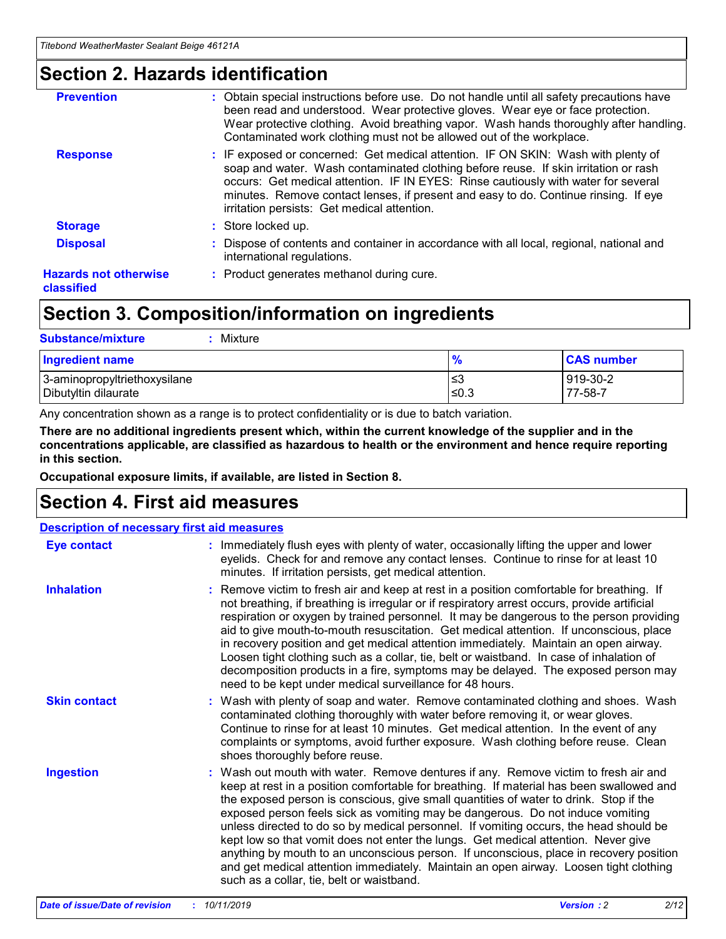### **Section 2. Hazards identification**

| <b>Prevention</b>                          | : Obtain special instructions before use. Do not handle until all safety precautions have<br>been read and understood. Wear protective gloves. Wear eye or face protection.<br>Wear protective clothing. Avoid breathing vapor. Wash hands thoroughly after handling.<br>Contaminated work clothing must not be allowed out of the workplace.                                                        |
|--------------------------------------------|------------------------------------------------------------------------------------------------------------------------------------------------------------------------------------------------------------------------------------------------------------------------------------------------------------------------------------------------------------------------------------------------------|
| <b>Response</b>                            | : IF exposed or concerned: Get medical attention. IF ON SKIN: Wash with plenty of<br>soap and water. Wash contaminated clothing before reuse. If skin irritation or rash<br>occurs: Get medical attention. IF IN EYES: Rinse cautiously with water for several<br>minutes. Remove contact lenses, if present and easy to do. Continue rinsing. If eye<br>irritation persists: Get medical attention. |
| <b>Storage</b>                             | : Store locked up.                                                                                                                                                                                                                                                                                                                                                                                   |
| <b>Disposal</b>                            | : Dispose of contents and container in accordance with all local, regional, national and<br>international regulations.                                                                                                                                                                                                                                                                               |
| <b>Hazards not otherwise</b><br>classified | : Product generates methanol during cure.                                                                                                                                                                                                                                                                                                                                                            |
|                                            |                                                                                                                                                                                                                                                                                                                                                                                                      |

## **Section 3. Composition/information on ingredients**

| <b>Substance/mixture</b><br>Mixture                  |               |                     |
|------------------------------------------------------|---------------|---------------------|
| <b>Ingredient name</b>                               | $\frac{9}{6}$ | <b>CAS number</b>   |
| 3-aminopropyltriethoxysilane<br>Dibutyltin dilaurate | ≤3<br>$≤0.3$  | 919-30-2<br>77-58-7 |

Any concentration shown as a range is to protect confidentiality or is due to batch variation.

**There are no additional ingredients present which, within the current knowledge of the supplier and in the concentrations applicable, are classified as hazardous to health or the environment and hence require reporting in this section.**

**Occupational exposure limits, if available, are listed in Section 8.**

### **Section 4. First aid measures**

| <b>Description of necessary first aid measures</b> |                                                                                                                                                                                                                                                                                                                                                                                                                                                                                                                                                                                                                                                                                                                                                                           |  |  |  |
|----------------------------------------------------|---------------------------------------------------------------------------------------------------------------------------------------------------------------------------------------------------------------------------------------------------------------------------------------------------------------------------------------------------------------------------------------------------------------------------------------------------------------------------------------------------------------------------------------------------------------------------------------------------------------------------------------------------------------------------------------------------------------------------------------------------------------------------|--|--|--|
| <b>Eye contact</b>                                 | : Immediately flush eyes with plenty of water, occasionally lifting the upper and lower<br>eyelids. Check for and remove any contact lenses. Continue to rinse for at least 10<br>minutes. If irritation persists, get medical attention.                                                                                                                                                                                                                                                                                                                                                                                                                                                                                                                                 |  |  |  |
| <b>Inhalation</b>                                  | : Remove victim to fresh air and keep at rest in a position comfortable for breathing. If<br>not breathing, if breathing is irregular or if respiratory arrest occurs, provide artificial<br>respiration or oxygen by trained personnel. It may be dangerous to the person providing<br>aid to give mouth-to-mouth resuscitation. Get medical attention. If unconscious, place<br>in recovery position and get medical attention immediately. Maintain an open airway.<br>Loosen tight clothing such as a collar, tie, belt or waistband. In case of inhalation of<br>decomposition products in a fire, symptoms may be delayed. The exposed person may<br>need to be kept under medical surveillance for 48 hours.                                                       |  |  |  |
| <b>Skin contact</b>                                | : Wash with plenty of soap and water. Remove contaminated clothing and shoes. Wash<br>contaminated clothing thoroughly with water before removing it, or wear gloves.<br>Continue to rinse for at least 10 minutes. Get medical attention. In the event of any<br>complaints or symptoms, avoid further exposure. Wash clothing before reuse. Clean<br>shoes thoroughly before reuse.                                                                                                                                                                                                                                                                                                                                                                                     |  |  |  |
| <b>Ingestion</b>                                   | : Wash out mouth with water. Remove dentures if any. Remove victim to fresh air and<br>keep at rest in a position comfortable for breathing. If material has been swallowed and<br>the exposed person is conscious, give small quantities of water to drink. Stop if the<br>exposed person feels sick as vomiting may be dangerous. Do not induce vomiting<br>unless directed to do so by medical personnel. If vomiting occurs, the head should be<br>kept low so that vomit does not enter the lungs. Get medical attention. Never give<br>anything by mouth to an unconscious person. If unconscious, place in recovery position<br>and get medical attention immediately. Maintain an open airway. Loosen tight clothing<br>such as a collar, tie, belt or waistband. |  |  |  |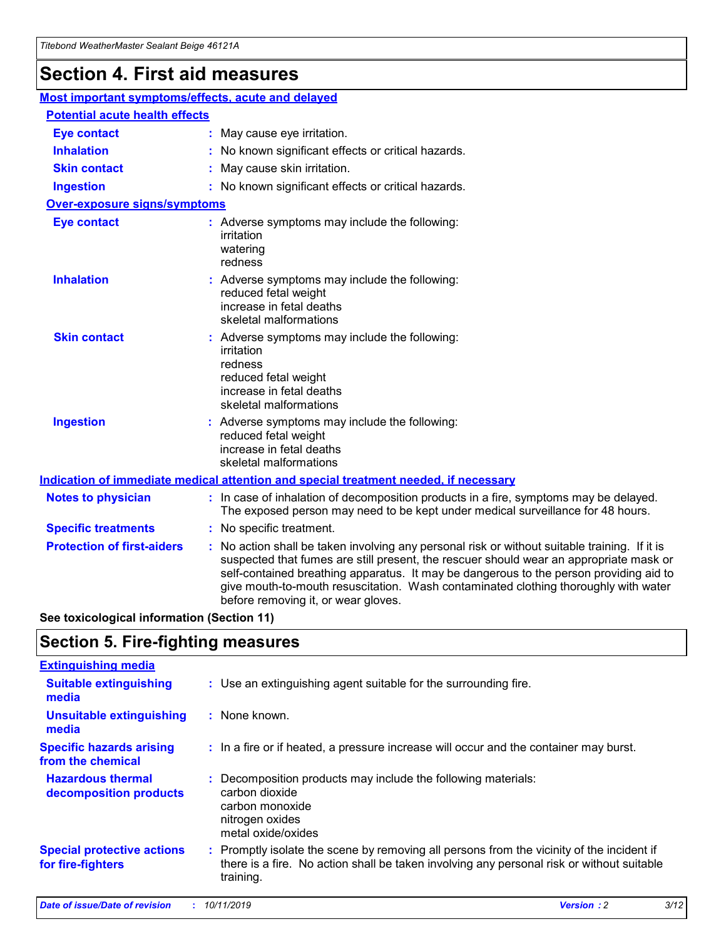## **Section 4. First aid measures**

| Most important symptoms/effects, acute and delayed |  |                                                                                                                                                                                                                                                                                                                                                                                                                 |
|----------------------------------------------------|--|-----------------------------------------------------------------------------------------------------------------------------------------------------------------------------------------------------------------------------------------------------------------------------------------------------------------------------------------------------------------------------------------------------------------|
| <b>Potential acute health effects</b>              |  |                                                                                                                                                                                                                                                                                                                                                                                                                 |
| <b>Eye contact</b>                                 |  | : May cause eye irritation.                                                                                                                                                                                                                                                                                                                                                                                     |
| <b>Inhalation</b>                                  |  | : No known significant effects or critical hazards.                                                                                                                                                                                                                                                                                                                                                             |
| <b>Skin contact</b>                                |  | : May cause skin irritation.                                                                                                                                                                                                                                                                                                                                                                                    |
| <b>Ingestion</b>                                   |  | : No known significant effects or critical hazards.                                                                                                                                                                                                                                                                                                                                                             |
| <b>Over-exposure signs/symptoms</b>                |  |                                                                                                                                                                                                                                                                                                                                                                                                                 |
| <b>Eye contact</b>                                 |  | : Adverse symptoms may include the following:<br>irritation<br>watering<br>redness                                                                                                                                                                                                                                                                                                                              |
| <b>Inhalation</b>                                  |  | : Adverse symptoms may include the following:<br>reduced fetal weight<br>increase in fetal deaths<br>skeletal malformations                                                                                                                                                                                                                                                                                     |
| <b>Skin contact</b>                                |  | : Adverse symptoms may include the following:<br>irritation<br>redness<br>reduced fetal weight<br>increase in fetal deaths<br>skeletal malformations                                                                                                                                                                                                                                                            |
| <b>Ingestion</b>                                   |  | : Adverse symptoms may include the following:<br>reduced fetal weight<br>increase in fetal deaths<br>skeletal malformations                                                                                                                                                                                                                                                                                     |
|                                                    |  | <b>Indication of immediate medical attention and special treatment needed, if necessary</b>                                                                                                                                                                                                                                                                                                                     |
| <b>Notes to physician</b>                          |  | : In case of inhalation of decomposition products in a fire, symptoms may be delayed.<br>The exposed person may need to be kept under medical surveillance for 48 hours.                                                                                                                                                                                                                                        |
| <b>Specific treatments</b>                         |  | : No specific treatment.                                                                                                                                                                                                                                                                                                                                                                                        |
| <b>Protection of first-aiders</b>                  |  | : No action shall be taken involving any personal risk or without suitable training. If it is<br>suspected that fumes are still present, the rescuer should wear an appropriate mask or<br>self-contained breathing apparatus. It may be dangerous to the person providing aid to<br>give mouth-to-mouth resuscitation. Wash contaminated clothing thoroughly with water<br>before removing it, or wear gloves. |

**See toxicological information (Section 11)**

### **Section 5. Fire-fighting measures**

| <b>Extinguishing media</b>                             |                                                                                                                                                                                                     |
|--------------------------------------------------------|-----------------------------------------------------------------------------------------------------------------------------------------------------------------------------------------------------|
| <b>Suitable extinguishing</b><br>media                 | : Use an extinguishing agent suitable for the surrounding fire.                                                                                                                                     |
| <b>Unsuitable extinguishing</b><br>media               | : None known.                                                                                                                                                                                       |
| <b>Specific hazards arising</b><br>from the chemical   | : In a fire or if heated, a pressure increase will occur and the container may burst.                                                                                                               |
| <b>Hazardous thermal</b><br>decomposition products     | : Decomposition products may include the following materials:<br>carbon dioxide<br>carbon monoxide<br>nitrogen oxides<br>metal oxide/oxides                                                         |
| <b>Special protective actions</b><br>for fire-fighters | : Promptly isolate the scene by removing all persons from the vicinity of the incident if<br>there is a fire. No action shall be taken involving any personal risk or without suitable<br>training. |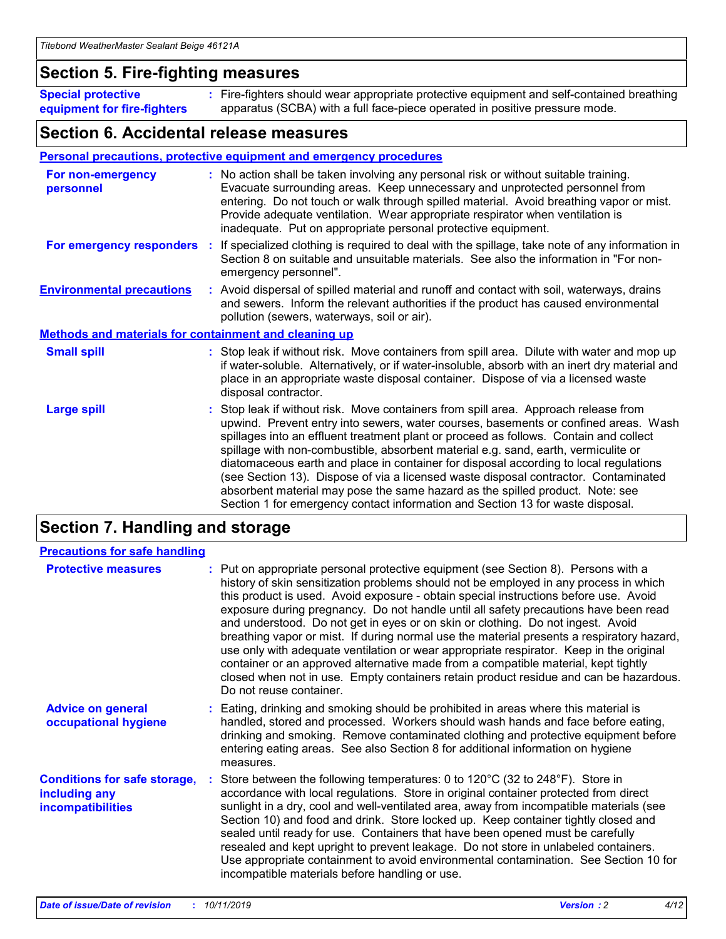### **Section 5. Fire-fighting measures**

**Special protective equipment for fire-fighters** Fire-fighters should wear appropriate protective equipment and self-contained breathing **:** apparatus (SCBA) with a full face-piece operated in positive pressure mode.

### **Section 6. Accidental release measures**

#### **Personal precautions, protective equipment and emergency procedures**

| For non-emergency<br>personnel                               | : No action shall be taken involving any personal risk or without suitable training.<br>Evacuate surrounding areas. Keep unnecessary and unprotected personnel from<br>entering. Do not touch or walk through spilled material. Avoid breathing vapor or mist.<br>Provide adequate ventilation. Wear appropriate respirator when ventilation is<br>inadequate. Put on appropriate personal protective equipment.                                                                                                                                                                                                                                                                                             |
|--------------------------------------------------------------|--------------------------------------------------------------------------------------------------------------------------------------------------------------------------------------------------------------------------------------------------------------------------------------------------------------------------------------------------------------------------------------------------------------------------------------------------------------------------------------------------------------------------------------------------------------------------------------------------------------------------------------------------------------------------------------------------------------|
|                                                              | For emergency responders : If specialized clothing is required to deal with the spillage, take note of any information in<br>Section 8 on suitable and unsuitable materials. See also the information in "For non-<br>emergency personnel".                                                                                                                                                                                                                                                                                                                                                                                                                                                                  |
| <b>Environmental precautions</b>                             | : Avoid dispersal of spilled material and runoff and contact with soil, waterways, drains<br>and sewers. Inform the relevant authorities if the product has caused environmental<br>pollution (sewers, waterways, soil or air).                                                                                                                                                                                                                                                                                                                                                                                                                                                                              |
| <b>Methods and materials for containment and cleaning up</b> |                                                                                                                                                                                                                                                                                                                                                                                                                                                                                                                                                                                                                                                                                                              |
| <b>Small spill</b>                                           | : Stop leak if without risk. Move containers from spill area. Dilute with water and mop up<br>if water-soluble. Alternatively, or if water-insoluble, absorb with an inert dry material and<br>place in an appropriate waste disposal container. Dispose of via a licensed waste<br>disposal contractor.                                                                                                                                                                                                                                                                                                                                                                                                     |
| <b>Large spill</b>                                           | : Stop leak if without risk. Move containers from spill area. Approach release from<br>upwind. Prevent entry into sewers, water courses, basements or confined areas. Wash<br>spillages into an effluent treatment plant or proceed as follows. Contain and collect<br>spillage with non-combustible, absorbent material e.g. sand, earth, vermiculite or<br>diatomaceous earth and place in container for disposal according to local regulations<br>(see Section 13). Dispose of via a licensed waste disposal contractor. Contaminated<br>absorbent material may pose the same hazard as the spilled product. Note: see<br>Section 1 for emergency contact information and Section 13 for waste disposal. |

### **Section 7. Handling and storage**

| <b>Precautions for safe handling</b>                                             |                                                                                                                                                                                                                                                                                                                                                                                                                                                                                                                                                                                                                                                                                                                                                                                                                                                  |
|----------------------------------------------------------------------------------|--------------------------------------------------------------------------------------------------------------------------------------------------------------------------------------------------------------------------------------------------------------------------------------------------------------------------------------------------------------------------------------------------------------------------------------------------------------------------------------------------------------------------------------------------------------------------------------------------------------------------------------------------------------------------------------------------------------------------------------------------------------------------------------------------------------------------------------------------|
| <b>Protective measures</b>                                                       | : Put on appropriate personal protective equipment (see Section 8). Persons with a<br>history of skin sensitization problems should not be employed in any process in which<br>this product is used. Avoid exposure - obtain special instructions before use. Avoid<br>exposure during pregnancy. Do not handle until all safety precautions have been read<br>and understood. Do not get in eyes or on skin or clothing. Do not ingest. Avoid<br>breathing vapor or mist. If during normal use the material presents a respiratory hazard,<br>use only with adequate ventilation or wear appropriate respirator. Keep in the original<br>container or an approved alternative made from a compatible material, kept tightly<br>closed when not in use. Empty containers retain product residue and can be hazardous.<br>Do not reuse container. |
| <b>Advice on general</b><br>occupational hygiene                                 | : Eating, drinking and smoking should be prohibited in areas where this material is<br>handled, stored and processed. Workers should wash hands and face before eating,<br>drinking and smoking. Remove contaminated clothing and protective equipment before<br>entering eating areas. See also Section 8 for additional information on hygiene<br>measures.                                                                                                                                                                                                                                                                                                                                                                                                                                                                                    |
| <b>Conditions for safe storage,</b><br>including any<br><b>incompatibilities</b> | Store between the following temperatures: 0 to 120 $\degree$ C (32 to 248 $\degree$ F). Store in<br>accordance with local regulations. Store in original container protected from direct<br>sunlight in a dry, cool and well-ventilated area, away from incompatible materials (see<br>Section 10) and food and drink. Store locked up. Keep container tightly closed and<br>sealed until ready for use. Containers that have been opened must be carefully<br>resealed and kept upright to prevent leakage. Do not store in unlabeled containers.<br>Use appropriate containment to avoid environmental contamination. See Section 10 for<br>incompatible materials before handling or use.                                                                                                                                                     |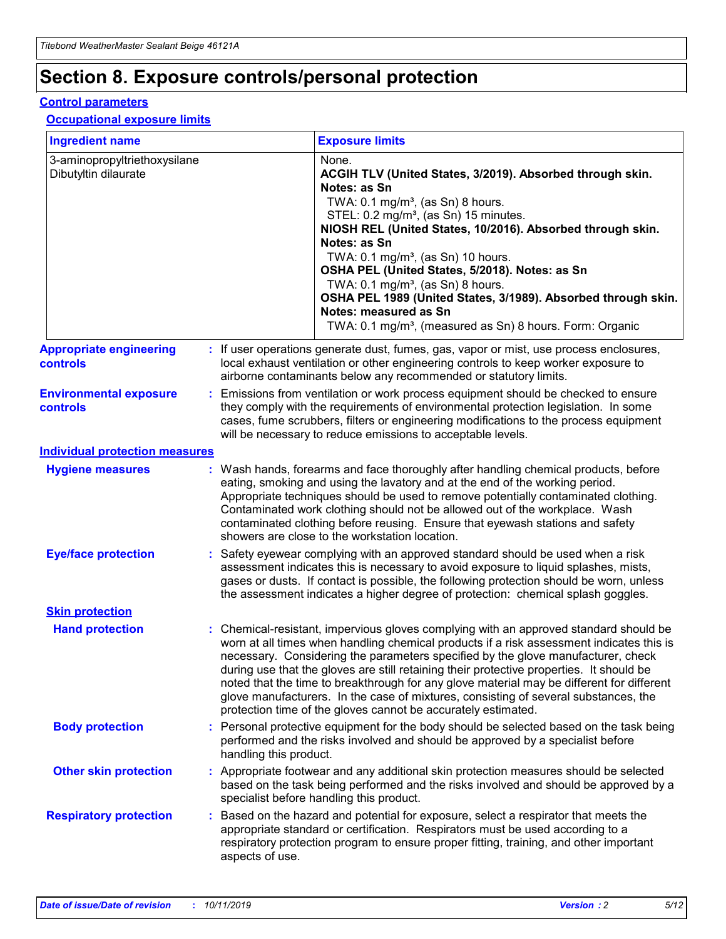## **Section 8. Exposure controls/personal protection**

#### **Control parameters**

#### **Occupational exposure limits**

| <b>Ingredient name</b>                               |    |                                          | <b>Exposure limits</b>                                                                                                                                                                                                                                                                                                                                                                                                                                                                                                                                                                                                 |
|------------------------------------------------------|----|------------------------------------------|------------------------------------------------------------------------------------------------------------------------------------------------------------------------------------------------------------------------------------------------------------------------------------------------------------------------------------------------------------------------------------------------------------------------------------------------------------------------------------------------------------------------------------------------------------------------------------------------------------------------|
| 3-aminopropyltriethoxysilane<br>Dibutyltin dilaurate |    |                                          | None.<br>ACGIH TLV (United States, 3/2019). Absorbed through skin.<br>Notes: as Sn<br>TWA: 0.1 mg/m <sup>3</sup> , (as Sn) 8 hours.<br>STEL: 0.2 mg/m <sup>3</sup> , (as Sn) 15 minutes.<br>NIOSH REL (United States, 10/2016). Absorbed through skin.<br>Notes: as Sn<br>TWA: 0.1 mg/m <sup>3</sup> , (as Sn) 10 hours.<br>OSHA PEL (United States, 5/2018). Notes: as Sn<br>TWA: $0.1 \text{ mg/m}^3$ , (as Sn) 8 hours.<br>OSHA PEL 1989 (United States, 3/1989). Absorbed through skin.<br>Notes: measured as Sn<br>TWA: 0.1 mg/m <sup>3</sup> , (measured as Sn) 8 hours. Form: Organic                           |
| <b>Appropriate engineering</b><br>controls           |    |                                          | : If user operations generate dust, fumes, gas, vapor or mist, use process enclosures,<br>local exhaust ventilation or other engineering controls to keep worker exposure to<br>airborne contaminants below any recommended or statutory limits.                                                                                                                                                                                                                                                                                                                                                                       |
| <b>Environmental exposure</b><br><b>controls</b>     |    |                                          | Emissions from ventilation or work process equipment should be checked to ensure<br>they comply with the requirements of environmental protection legislation. In some<br>cases, fume scrubbers, filters or engineering modifications to the process equipment<br>will be necessary to reduce emissions to acceptable levels.                                                                                                                                                                                                                                                                                          |
| <b>Individual protection measures</b>                |    |                                          |                                                                                                                                                                                                                                                                                                                                                                                                                                                                                                                                                                                                                        |
| <b>Hygiene measures</b>                              |    |                                          | : Wash hands, forearms and face thoroughly after handling chemical products, before<br>eating, smoking and using the lavatory and at the end of the working period.<br>Appropriate techniques should be used to remove potentially contaminated clothing.<br>Contaminated work clothing should not be allowed out of the workplace. Wash<br>contaminated clothing before reusing. Ensure that eyewash stations and safety<br>showers are close to the workstation location.                                                                                                                                            |
| <b>Eye/face protection</b>                           |    |                                          | : Safety eyewear complying with an approved standard should be used when a risk<br>assessment indicates this is necessary to avoid exposure to liquid splashes, mists,<br>gases or dusts. If contact is possible, the following protection should be worn, unless<br>the assessment indicates a higher degree of protection: chemical splash goggles.                                                                                                                                                                                                                                                                  |
| <b>Skin protection</b>                               |    |                                          |                                                                                                                                                                                                                                                                                                                                                                                                                                                                                                                                                                                                                        |
| <b>Hand protection</b>                               |    |                                          | : Chemical-resistant, impervious gloves complying with an approved standard should be<br>worn at all times when handling chemical products if a risk assessment indicates this is<br>necessary. Considering the parameters specified by the glove manufacturer, check<br>during use that the gloves are still retaining their protective properties. It should be<br>noted that the time to breakthrough for any glove material may be different for different<br>glove manufacturers. In the case of mixtures, consisting of several substances, the<br>protection time of the gloves cannot be accurately estimated. |
| <b>Body protection</b>                               |    | handling this product.                   | Personal protective equipment for the body should be selected based on the task being<br>performed and the risks involved and should be approved by a specialist before                                                                                                                                                                                                                                                                                                                                                                                                                                                |
| <b>Other skin protection</b>                         |    | specialist before handling this product. | : Appropriate footwear and any additional skin protection measures should be selected<br>based on the task being performed and the risks involved and should be approved by a                                                                                                                                                                                                                                                                                                                                                                                                                                          |
| <b>Respiratory protection</b>                        | ÷. | aspects of use.                          | Based on the hazard and potential for exposure, select a respirator that meets the<br>appropriate standard or certification. Respirators must be used according to a<br>respiratory protection program to ensure proper fitting, training, and other important                                                                                                                                                                                                                                                                                                                                                         |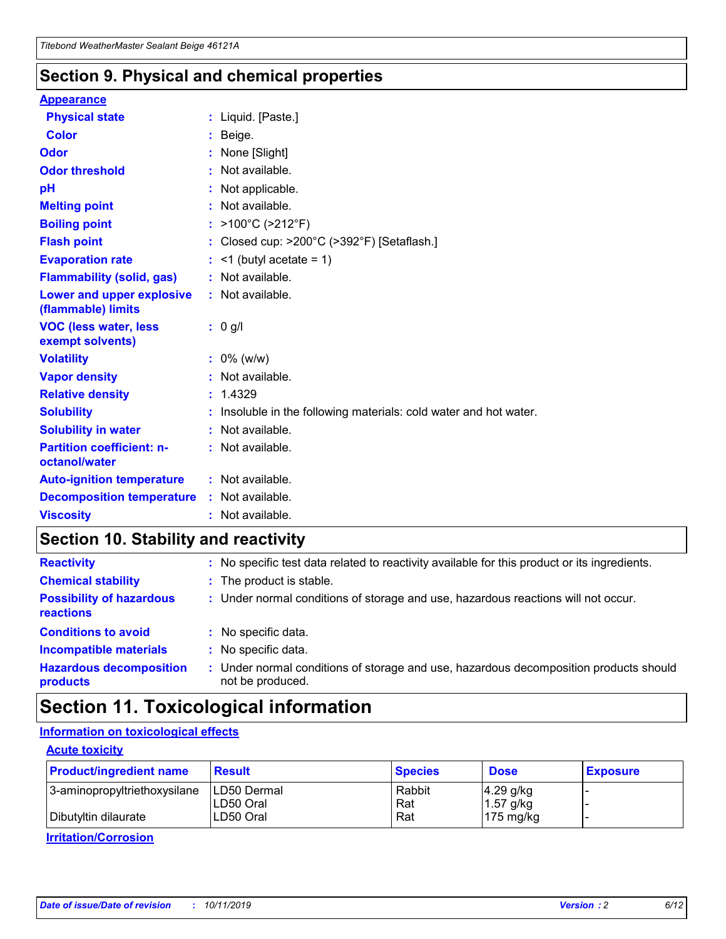### **Section 9. Physical and chemical properties**

#### **Appearance**

| <b>Physical state</b>                             | : Liquid. [Paste.]                                                |
|---------------------------------------------------|-------------------------------------------------------------------|
| <b>Color</b>                                      | Beige.                                                            |
| Odor                                              | None [Slight]                                                     |
| <b>Odor threshold</b>                             | : Not available.                                                  |
| рH                                                | : Not applicable.                                                 |
| <b>Melting point</b>                              | : Not available.                                                  |
| <b>Boiling point</b>                              | : $>100^{\circ}$ C ( $>212^{\circ}$ F)                            |
| <b>Flash point</b>                                | : Closed cup: >200°C (>392°F) [Setaflash.]                        |
| <b>Evaporation rate</b>                           | $:$ <1 (butyl acetate = 1)                                        |
| <b>Flammability (solid, gas)</b>                  | : Not available.                                                  |
| Lower and upper explosive<br>(flammable) limits   | : Not available.                                                  |
| <b>VOC (less water, less</b><br>exempt solvents)  | $: 0$ g/l                                                         |
| <b>Volatility</b>                                 | $: 0\%$ (w/w)                                                     |
| <b>Vapor density</b>                              | : Not available.                                                  |
| <b>Relative density</b>                           | : 1.4329                                                          |
| <b>Solubility</b>                                 | : Insoluble in the following materials: cold water and hot water. |
| <b>Solubility in water</b>                        | : Not available.                                                  |
| <b>Partition coefficient: n-</b><br>octanol/water | : Not available.                                                  |
| <b>Auto-ignition temperature</b>                  | $:$ Not available.                                                |
| <b>Decomposition temperature</b>                  | : Not available.                                                  |
| <b>Viscosity</b>                                  | $:$ Not available.                                                |

### **Section 10. Stability and reactivity**

| <b>Reactivity</b>                            |    | : No specific test data related to reactivity available for this product or its ingredients.            |
|----------------------------------------------|----|---------------------------------------------------------------------------------------------------------|
| <b>Chemical stability</b>                    |    | : The product is stable.                                                                                |
| <b>Possibility of hazardous</b><br>reactions |    | : Under normal conditions of storage and use, hazardous reactions will not occur.                       |
| <b>Conditions to avoid</b>                   |    | : No specific data.                                                                                     |
| <b>Incompatible materials</b>                | ٠. | No specific data.                                                                                       |
| <b>Hazardous decomposition</b><br>products   | ÷. | Under normal conditions of storage and use, hazardous decomposition products should<br>not be produced. |

## **Section 11. Toxicological information**

#### **Information on toxicological effects**

#### **Acute toxicity**

| <b>Product/ingredient name</b> | <b>Result</b>           | <b>Species</b> | <b>Dose</b>                | <b>Exposure</b> |
|--------------------------------|-------------------------|----------------|----------------------------|-----------------|
| 3-aminopropyltriethoxysilane   | <b>ILD50 Dermal</b>     | Rabbit         | 4.29 g/kg                  |                 |
| Dibutyltin dilaurate           | ILD50 Oral<br>LD50 Oral | Rat<br>Rat     | $1.57$ g/kg<br>175 $mg/kg$ |                 |
|                                |                         |                |                            |                 |

**Irritation/Corrosion**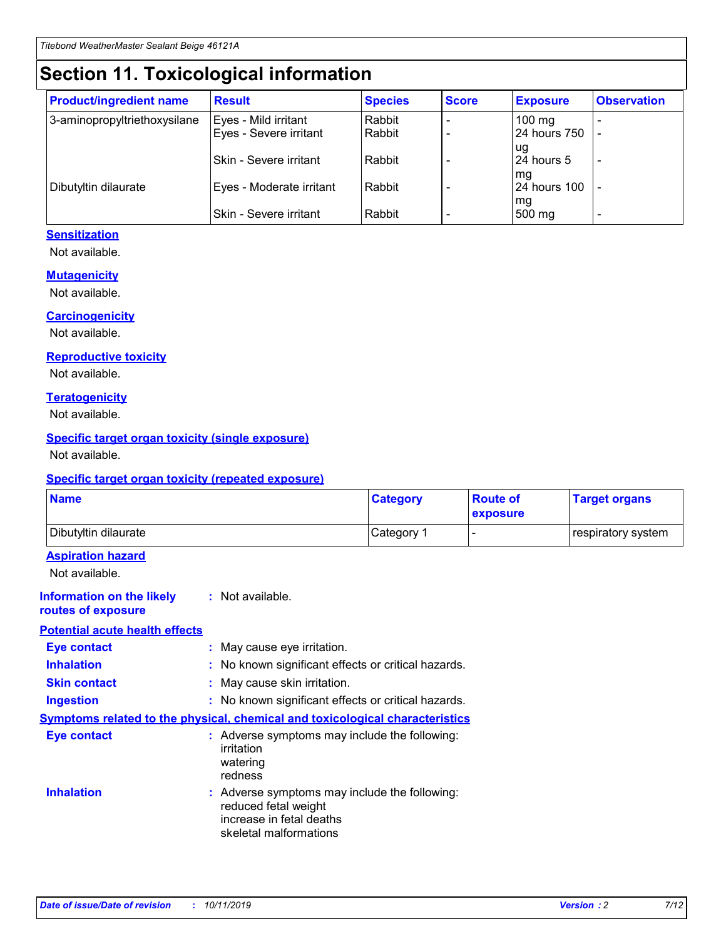## **Section 11. Toxicological information**

| <b>Product/ingredient name</b> | <b>Result</b>            | <b>Species</b> | <b>Score</b> | <b>Exposure</b>     | <b>Observation</b> |
|--------------------------------|--------------------------|----------------|--------------|---------------------|--------------------|
| 3-aminopropyltriethoxysilane   | Eyes - Mild irritant     | Rabbit         |              | $100 \text{ mg}$    |                    |
|                                | Eyes - Severe irritant   | Rabbit         |              | 24 hours 750        |                    |
|                                |                          |                |              | ug                  |                    |
|                                | Skin - Severe irritant   | Rabbit         |              | 24 hours 5          |                    |
|                                |                          |                |              | mq                  |                    |
| Dibutyltin dilaurate           | Eyes - Moderate irritant | Rabbit         |              | <b>24 hours 100</b> |                    |
|                                | Skin - Severe irritant   | Rabbit         |              | mg<br>500 mg        |                    |
|                                |                          |                |              |                     |                    |

#### **Sensitization**

Not available.

#### **Mutagenicity**

Not available.

#### **Carcinogenicity**

Not available.

#### **Reproductive toxicity**

Not available.

#### **Teratogenicity**

Not available.

#### **Specific target organ toxicity (single exposure)**

Not available.

#### **Specific target organ toxicity (repeated exposure)**

| <b>Name</b>                                                                  |                                                                                                                             | <b>Category</b> | <b>Route of</b><br>exposure  | <b>Target organs</b> |
|------------------------------------------------------------------------------|-----------------------------------------------------------------------------------------------------------------------------|-----------------|------------------------------|----------------------|
| Dibutyltin dilaurate                                                         |                                                                                                                             | Category 1      | $\qquad \qquad \blacksquare$ | respiratory system   |
| <b>Aspiration hazard</b><br>Not available.                                   |                                                                                                                             |                 |                              |                      |
| <b>Information on the likely</b><br>routes of exposure                       | : Not available.                                                                                                            |                 |                              |                      |
| <b>Potential acute health effects</b>                                        |                                                                                                                             |                 |                              |                      |
| <b>Eye contact</b>                                                           | : May cause eye irritation.                                                                                                 |                 |                              |                      |
| <b>Inhalation</b>                                                            | : No known significant effects or critical hazards.                                                                         |                 |                              |                      |
| <b>Skin contact</b>                                                          | : May cause skin irritation.                                                                                                |                 |                              |                      |
| <b>Ingestion</b>                                                             | : No known significant effects or critical hazards.                                                                         |                 |                              |                      |
| Symptoms related to the physical, chemical and toxicological characteristics |                                                                                                                             |                 |                              |                      |
| <b>Eye contact</b>                                                           | : Adverse symptoms may include the following:<br>irritation<br>watering<br>redness                                          |                 |                              |                      |
| <b>Inhalation</b>                                                            | : Adverse symptoms may include the following:<br>reduced fetal weight<br>increase in fetal deaths<br>skeletal malformations |                 |                              |                      |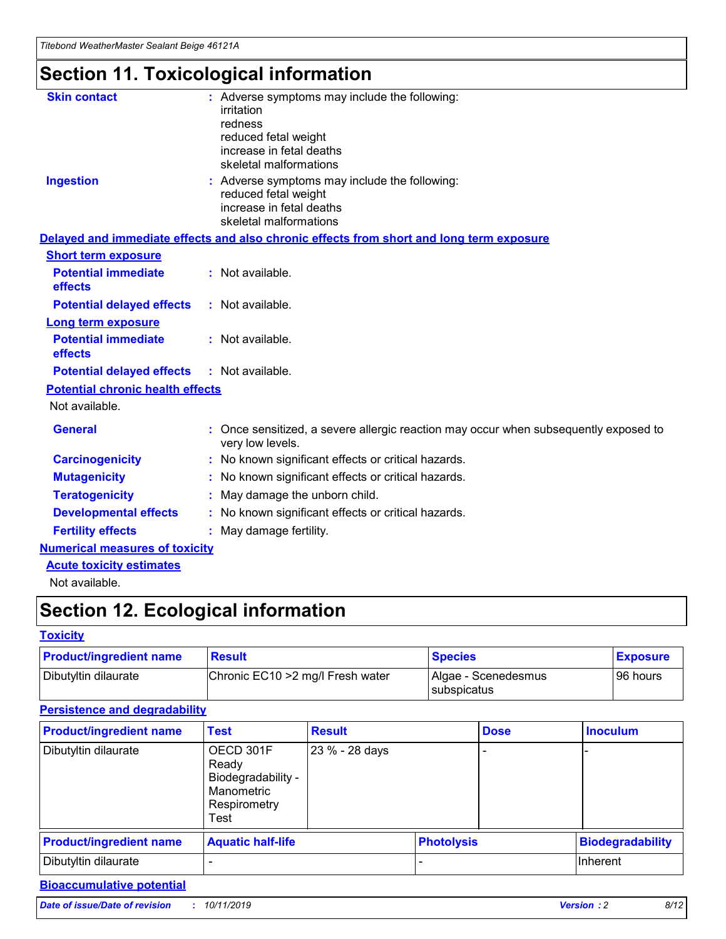## **Section 11. Toxicological information**

| <b>Skin contact</b>                     | : Adverse symptoms may include the following:                                                            |
|-----------------------------------------|----------------------------------------------------------------------------------------------------------|
|                                         | irritation                                                                                               |
|                                         | redness                                                                                                  |
|                                         | reduced fetal weight                                                                                     |
|                                         | increase in fetal deaths                                                                                 |
|                                         | skeletal malformations                                                                                   |
| <b>Ingestion</b>                        | : Adverse symptoms may include the following:                                                            |
|                                         | reduced fetal weight                                                                                     |
|                                         | increase in fetal deaths                                                                                 |
|                                         | skeletal malformations                                                                                   |
|                                         | Delayed and immediate effects and also chronic effects from short and long term exposure                 |
| <b>Short term exposure</b>              |                                                                                                          |
| <b>Potential immediate</b>              | : Not available.                                                                                         |
| effects                                 |                                                                                                          |
| <b>Potential delayed effects</b>        | : Not available.                                                                                         |
| Long term exposure                      |                                                                                                          |
| <b>Potential immediate</b>              | : Not available.                                                                                         |
| effects                                 |                                                                                                          |
| <b>Potential delayed effects</b>        | : Not available.                                                                                         |
| <b>Potential chronic health effects</b> |                                                                                                          |
| Not available.                          |                                                                                                          |
| <b>General</b>                          | : Once sensitized, a severe allergic reaction may occur when subsequently exposed to<br>very low levels. |
| <b>Carcinogenicity</b>                  | : No known significant effects or critical hazards.                                                      |
| <b>Mutagenicity</b>                     | : No known significant effects or critical hazards.                                                      |
| <b>Teratogenicity</b>                   | May damage the unborn child.                                                                             |
| <b>Developmental effects</b>            | : No known significant effects or critical hazards.                                                      |
| <b>Fertility effects</b>                | May damage fertility.                                                                                    |
| <b>Numerical measures of toxicity</b>   |                                                                                                          |
| <b>Acute toxicity estimates</b>         |                                                                                                          |
| الملحلة والمستحقق فالمرابط              |                                                                                                          |

Not available.

## **Section 12. Ecological information**

#### **Toxicity**

| <b>Product/ingredient name</b> | <b>Result</b>                     | <b>Species</b>                              | <b>Exposure</b> |
|--------------------------------|-----------------------------------|---------------------------------------------|-----------------|
| Dibutyltin dilaurate           | Chronic EC10 > 2 mg/l Fresh water | Algae - Scenedesmus<br><b>I</b> subspicatus | l 96 hours      |

#### **Persistence and degradability**

| <b>Product/ingredient name</b> | <b>Test</b>                                                                    | <b>Result</b>  |                   | <b>Dose</b> | <b>Inoculum</b>         |
|--------------------------------|--------------------------------------------------------------------------------|----------------|-------------------|-------------|-------------------------|
| Dibutyltin dilaurate           | OECD 301F<br>Ready<br>Biodegradability -<br>Manometric<br>Respirometry<br>Test | 23 % - 28 days |                   |             |                         |
| <b>Product/ingredient name</b> | <b>Aquatic half-life</b>                                                       |                | <b>Photolysis</b> |             | <b>Biodegradability</b> |
| Dibutyltin dilaurate           |                                                                                |                |                   |             | Inherent                |

#### **Bioaccumulative potential**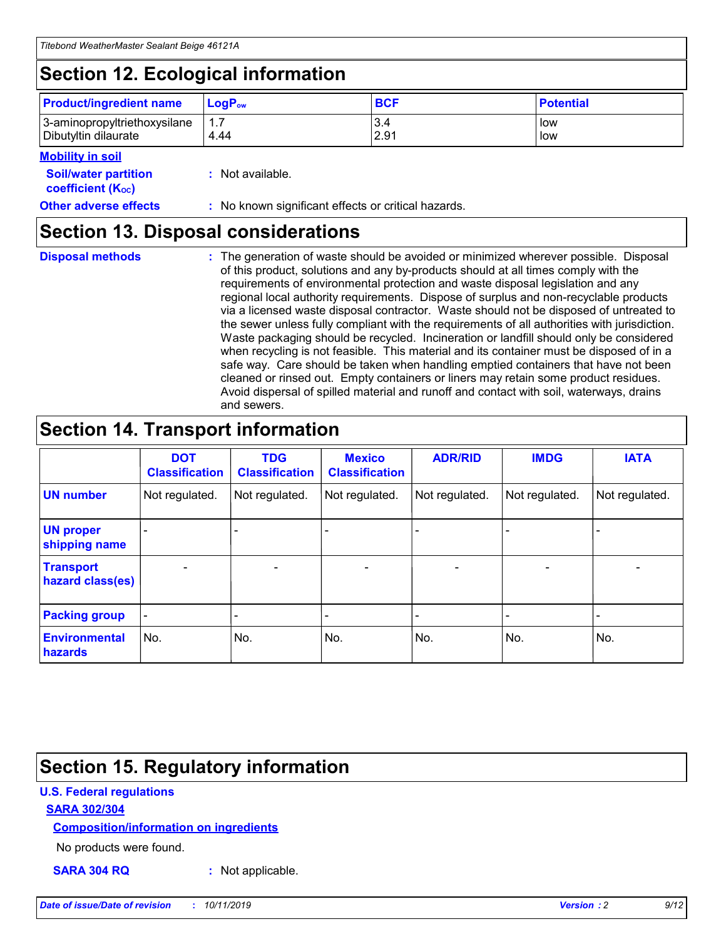## **Section 12. Ecological information**

| <b>Product/ingredient name</b> | $LoaPow$ | <b>BCF</b> | <b>Potential</b> |
|--------------------------------|----------|------------|------------------|
| 3-aminopropyltriethoxysilane   | 1.7      | 3.4        | low              |
| Dibutyltin dilaurate           | 4.44     | 2.91       | low              |

#### **Mobility in soil**

| <b>Soil/water partition</b><br>coefficient (K <sub>oc</sub> ) | : Not available.                                    |
|---------------------------------------------------------------|-----------------------------------------------------|
| <b>Other adverse effects</b>                                  | : No known significant effects or critical hazards. |

### **Section 13. Disposal considerations**

**Disposal methods :**

The generation of waste should be avoided or minimized wherever possible. Disposal of this product, solutions and any by-products should at all times comply with the requirements of environmental protection and waste disposal legislation and any regional local authority requirements. Dispose of surplus and non-recyclable products via a licensed waste disposal contractor. Waste should not be disposed of untreated to the sewer unless fully compliant with the requirements of all authorities with jurisdiction. Waste packaging should be recycled. Incineration or landfill should only be considered when recycling is not feasible. This material and its container must be disposed of in a safe way. Care should be taken when handling emptied containers that have not been cleaned or rinsed out. Empty containers or liners may retain some product residues. Avoid dispersal of spilled material and runoff and contact with soil, waterways, drains and sewers.

## **Section 14. Transport information**

|                                      | <b>DOT</b><br><b>Classification</b> | <b>TDG</b><br><b>Classification</b> | <b>Mexico</b><br><b>Classification</b> | <b>ADR/RID</b>               | <b>IMDG</b>    | <b>IATA</b>    |
|--------------------------------------|-------------------------------------|-------------------------------------|----------------------------------------|------------------------------|----------------|----------------|
| <b>UN number</b>                     | Not regulated.                      | Not regulated.                      | Not regulated.                         | Not regulated.               | Not regulated. | Not regulated. |
| <b>UN proper</b><br>shipping name    |                                     |                                     |                                        |                              |                |                |
| <b>Transport</b><br>hazard class(es) | $\blacksquare$                      | $\overline{\phantom{0}}$            | $\overline{\phantom{a}}$               | $\qquad \qquad \blacksquare$ | $\blacksquare$ | $\blacksquare$ |
| <b>Packing group</b>                 | $\overline{\phantom{a}}$            | -                                   |                                        | -                            |                | -              |
| <b>Environmental</b><br>hazards      | No.                                 | No.                                 | No.                                    | No.                          | No.            | No.            |

## **Section 15. Regulatory information**

#### **U.S. Federal regulations**

#### **SARA 302/304**

#### **Composition/information on ingredients**

No products were found.

**SARA 304 RQ :** Not applicable.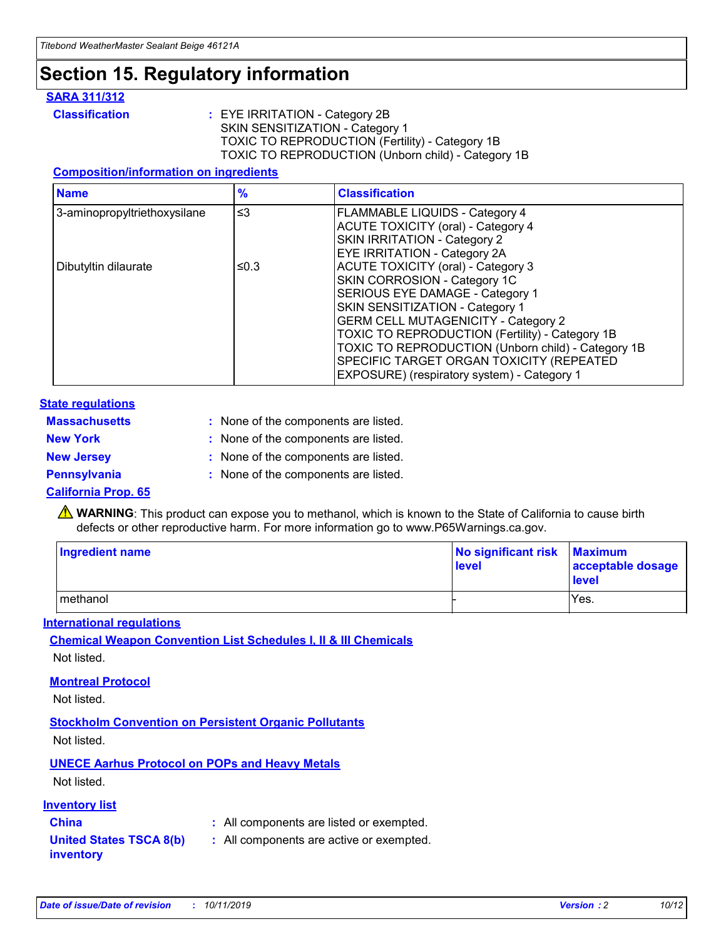## **Section 15. Regulatory information**

#### **SARA 311/312**

**Classification :** EYE IRRITATION - Category 2B SKIN SENSITIZATION - Category 1 TOXIC TO REPRODUCTION (Fertility) - Category 1B TOXIC TO REPRODUCTION (Unborn child) - Category 1B

#### **Composition/information on ingredients**

| <b>Name</b>                  | $\frac{9}{6}$ | <b>Classification</b>                                                                                            |
|------------------------------|---------------|------------------------------------------------------------------------------------------------------------------|
| 3-aminopropyltriethoxysilane | $\leq$ 3      | <b>FLAMMABLE LIQUIDS - Category 4</b><br><b>ACUTE TOXICITY (oral) - Category 4</b>                               |
|                              |               | SKIN IRRITATION - Category 2<br>EYE IRRITATION - Category 2A                                                     |
| Dibutyltin dilaurate         | ≤0.3          | ACUTE TOXICITY (oral) - Category 3<br>SKIN CORROSION - Category 1C                                               |
|                              |               | SERIOUS EYE DAMAGE - Category 1<br>SKIN SENSITIZATION - Category 1<br><b>GERM CELL MUTAGENICITY - Category 2</b> |
|                              |               | TOXIC TO REPRODUCTION (Fertility) - Category 1B<br>TOXIC TO REPRODUCTION (Unborn child) - Category 1B            |
|                              |               | SPECIFIC TARGET ORGAN TOXICITY (REPEATED<br>EXPOSURE) (respiratory system) - Category 1                          |

#### **State regulations**

| <b>Massachusetts</b> | : None of the components are listed. |
|----------------------|--------------------------------------|
| <b>New York</b>      | : None of the components are listed. |
| <b>New Jersey</b>    | : None of the components are listed. |
| <b>Pennsylvania</b>  | : None of the components are listed. |

#### **California Prop. 65**

**A** WARNING: This product can expose you to methanol, which is known to the State of California to cause birth defects or other reproductive harm. For more information go to www.P65Warnings.ca.gov.

| <b>Ingredient name</b> | No significant risk Maximum<br>level | acceptable dosage<br>level |
|------------------------|--------------------------------------|----------------------------|
| methanol               |                                      | Yes.                       |

#### **International regulations**

**Chemical Weapon Convention List Schedules I, II & III Chemicals** Not listed.

#### **Montreal Protocol**

Not listed.

#### **Stockholm Convention on Persistent Organic Pollutants**

Not listed.

#### **UNECE Aarhus Protocol on POPs and Heavy Metals**

Not listed.

#### **Inventory list**

### **China :** All components are listed or exempted.

**United States TSCA 8(b) inventory :** All components are active or exempted.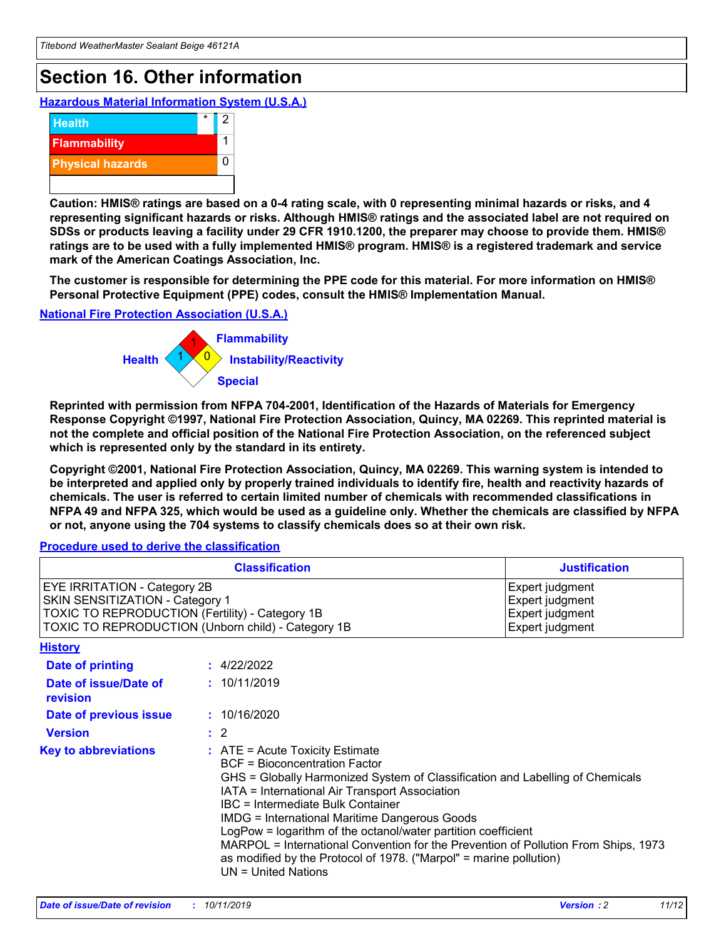## **Section 16. Other information**

**Hazardous Material Information System (U.S.A.)**



**Caution: HMIS® ratings are based on a 0-4 rating scale, with 0 representing minimal hazards or risks, and 4 representing significant hazards or risks. Although HMIS® ratings and the associated label are not required on SDSs or products leaving a facility under 29 CFR 1910.1200, the preparer may choose to provide them. HMIS® ratings are to be used with a fully implemented HMIS® program. HMIS® is a registered trademark and service mark of the American Coatings Association, Inc.**

**The customer is responsible for determining the PPE code for this material. For more information on HMIS® Personal Protective Equipment (PPE) codes, consult the HMIS® Implementation Manual.**

#### **National Fire Protection Association (U.S.A.)**



**Reprinted with permission from NFPA 704-2001, Identification of the Hazards of Materials for Emergency Response Copyright ©1997, National Fire Protection Association, Quincy, MA 02269. This reprinted material is not the complete and official position of the National Fire Protection Association, on the referenced subject which is represented only by the standard in its entirety.**

**Copyright ©2001, National Fire Protection Association, Quincy, MA 02269. This warning system is intended to be interpreted and applied only by properly trained individuals to identify fire, health and reactivity hazards of chemicals. The user is referred to certain limited number of chemicals with recommended classifications in NFPA 49 and NFPA 325, which would be used as a guideline only. Whether the chemicals are classified by NFPA or not, anyone using the 704 systems to classify chemicals does so at their own risk.**

**Procedure used to derive the classification**

| <b>Classification</b>                                                                                                                                                    |                                                                                                                                                  | <b>Justification</b>                                                                                                                                                                                                                                                                                                                                                                                                 |  |
|--------------------------------------------------------------------------------------------------------------------------------------------------------------------------|--------------------------------------------------------------------------------------------------------------------------------------------------|----------------------------------------------------------------------------------------------------------------------------------------------------------------------------------------------------------------------------------------------------------------------------------------------------------------------------------------------------------------------------------------------------------------------|--|
| EYE IRRITATION - Category 2B<br>SKIN SENSITIZATION - Category 1<br>TOXIC TO REPRODUCTION (Fertility) - Category 1B<br>TOXIC TO REPRODUCTION (Unborn child) - Category 1B |                                                                                                                                                  | Expert judgment<br>Expert judgment<br>Expert judgment<br>Expert judgment                                                                                                                                                                                                                                                                                                                                             |  |
| <b>History</b>                                                                                                                                                           |                                                                                                                                                  |                                                                                                                                                                                                                                                                                                                                                                                                                      |  |
| Date of printing                                                                                                                                                         | : 4/22/2022                                                                                                                                      |                                                                                                                                                                                                                                                                                                                                                                                                                      |  |
| Date of issue/Date of<br>revision                                                                                                                                        | : 10/11/2019                                                                                                                                     |                                                                                                                                                                                                                                                                                                                                                                                                                      |  |
| Date of previous issue                                                                                                                                                   | : 10/16/2020                                                                                                                                     |                                                                                                                                                                                                                                                                                                                                                                                                                      |  |
| <b>Version</b>                                                                                                                                                           | $\therefore$ 2                                                                                                                                   |                                                                                                                                                                                                                                                                                                                                                                                                                      |  |
| <b>Key to abbreviations</b>                                                                                                                                              | $\therefore$ ATE = Acute Toxicity Estimate<br><b>BCF</b> = Bioconcentration Factor<br>IBC = Intermediate Bulk Container<br>$UN = United Nations$ | GHS = Globally Harmonized System of Classification and Labelling of Chemicals<br>IATA = International Air Transport Association<br><b>IMDG = International Maritime Dangerous Goods</b><br>LogPow = logarithm of the octanol/water partition coefficient<br>MARPOL = International Convention for the Prevention of Pollution From Ships, 1973<br>as modified by the Protocol of 1978. ("Marpol" = marine pollution) |  |